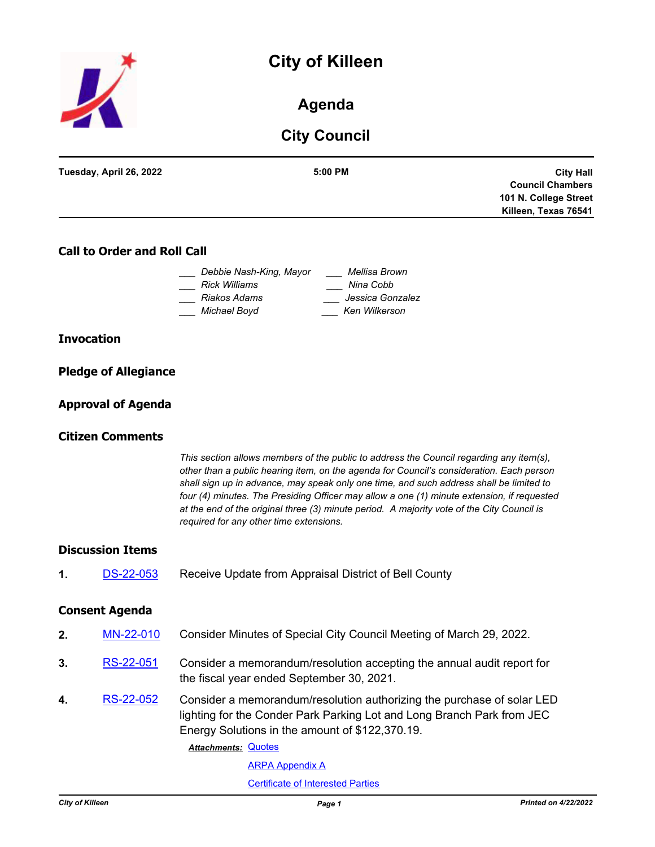# **City of Killeen**



### **Agenda**

## **City Council**

| Tuesday, April 26, 2022 | 5:00 PM |                         |
|-------------------------|---------|-------------------------|
|                         |         | <b>City Hall</b>        |
|                         |         | <b>Council Chambers</b> |
|                         |         | 101 N. College Street   |
|                         |         | Killeen, Texas 76541    |
|                         |         |                         |

#### **Call to Order and Roll Call**

| Debbie Nash-King, Mayor | Mellisa Brown    |
|-------------------------|------------------|
| Rick Williams           | Nina Cobb        |
| Riakos Adams            | Jessica Gonzalez |
| Michael Boyd            | Ken Wilkerson    |

#### **Invocation**

| <b>Pledge of Allegiance</b> |  |
|-----------------------------|--|
|                             |  |

#### **Approval of Agenda**

#### **Citizen Comments**

*This section allows members of the public to address the Council regarding any item(s), other than a public hearing item, on the agenda for Council's consideration. Each person shall sign up in advance, may speak only one time, and such address shall be limited to four (4) minutes. The Presiding Officer may allow a one (1) minute extension, if requested at the end of the original three (3) minute period. A majority vote of the City Council is required for any other time extensions.*

#### **Discussion Items**

**1.** [DS-22-053](http://killeen.legistar.com/gateway.aspx?m=l&id=/matter.aspx?key=6102) Receive Update from Appraisal District of Bell County

#### **Consent Agenda**

- **2.** [MN-22-010](http://killeen.legistar.com/gateway.aspx?m=l&id=/matter.aspx?key=6082) Consider Minutes of Special City Council Meeting of March 29, 2022.
- **3.** [RS-22-051](http://killeen.legistar.com/gateway.aspx?m=l&id=/matter.aspx?key=6057) Consider a memorandum/resolution accepting the annual audit report for the fiscal year ended September 30, 2021.
- **4.** [RS-22-052](http://killeen.legistar.com/gateway.aspx?m=l&id=/matter.aspx?key=5997) Consider a memorandum/resolution authorizing the purchase of solar LED lighting for the Conder Park Parking Lot and Long Branch Park from JEC Energy Solutions in the amount of \$122,370.19.

Attachments: [Quotes](http://killeen.legistar.com/gateway.aspx?M=F&ID=de4381a0-b902-4764-9f9f-d56f68a56364.pdf)

[ARPA Appendix A](http://killeen.legistar.com/gateway.aspx?M=F&ID=f4e68910-07a9-4ecf-baa9-5364d775973c.pdf)

[Certificate of Interested Parties](http://killeen.legistar.com/gateway.aspx?M=F&ID=0a51a7f9-e190-49b5-a3a2-c5bcbd2a330f.pdf)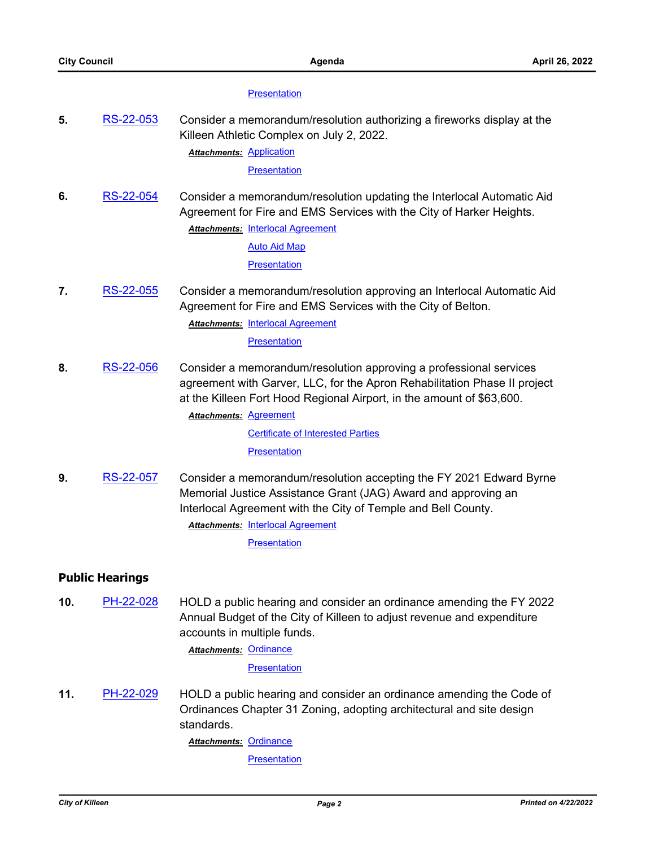#### **[Presentation](http://killeen.legistar.com/gateway.aspx?M=F&ID=9d573161-c6ab-4365-9f73-423814b82d12.pdf)**

**5.** [RS-22-053](http://killeen.legistar.com/gateway.aspx?m=l&id=/matter.aspx?key=6034) Consider a memorandum/resolution authorizing a fireworks display at the Killeen Athletic Complex on July 2, 2022.

**Attachments: [Application](http://killeen.legistar.com/gateway.aspx?M=F&ID=f02e6d0a-bcc4-464d-972e-4dc1afd3ff11.pdf)** 

**[Presentation](http://killeen.legistar.com/gateway.aspx?M=F&ID=bca9a767-ffa5-4643-91d2-1ba7cfcddfc9.pdf)** 

**6.** [RS-22-054](http://killeen.legistar.com/gateway.aspx?m=l&id=/matter.aspx?key=6047) Consider a memorandum/resolution updating the Interlocal Automatic Aid Agreement for Fire and EMS Services with the City of Harker Heights. **Attachments: [Interlocal Agreement](http://killeen.legistar.com/gateway.aspx?M=F&ID=6fac347d-fa9b-431b-b3c3-b40033870a3a.pdf)** 

[Auto Aid Map](http://killeen.legistar.com/gateway.aspx?M=F&ID=12ebbb62-bc25-47c4-aa9b-f830f4e67034.pdf)

**[Presentation](http://killeen.legistar.com/gateway.aspx?M=F&ID=f7991681-f3e0-49e4-950b-bcea2e1e716f.pdf)** 

**7.** [RS-22-055](http://killeen.legistar.com/gateway.aspx?m=l&id=/matter.aspx?key=6048) Consider a memorandum/resolution approving an Interlocal Automatic Aid Agreement for Fire and EMS Services with the City of Belton.

**Attachments: [Interlocal Agreement](http://killeen.legistar.com/gateway.aspx?M=F&ID=b777ff24-2f6a-47e2-9da6-cdc2b62d0ea0.pdf)** 

**[Presentation](http://killeen.legistar.com/gateway.aspx?M=F&ID=327d3d0c-f2c4-4d2f-a340-b11f07549828.pdf)** 

**8.** [RS-22-056](http://killeen.legistar.com/gateway.aspx?m=l&id=/matter.aspx?key=6061) Consider a memorandum/resolution approving a professional services agreement with Garver, LLC, for the Apron Rehabilitation Phase II project at the Killeen Fort Hood Regional Airport, in the amount of \$63,600.

**Attachments: [Agreement](http://killeen.legistar.com/gateway.aspx?M=F&ID=6d8ba998-19b4-4938-a38e-4f5039a81d6b.pdf)** 

[Certificate of Interested Parties](http://killeen.legistar.com/gateway.aspx?M=F&ID=ce229efb-8a3b-496d-9bbb-8711e70f79d8.pdf)

**[Presentation](http://killeen.legistar.com/gateway.aspx?M=F&ID=4d28cc94-28c7-4847-b72a-ecc3d71e6e5a.pdf)** 

**9.** [RS-22-057](http://killeen.legistar.com/gateway.aspx?m=l&id=/matter.aspx?key=6074) Consider a memorandum/resolution accepting the FY 2021 Edward Byrne Memorial Justice Assistance Grant (JAG) Award and approving an Interlocal Agreement with the City of Temple and Bell County.

**Attachments: [Interlocal Agreement](http://killeen.legistar.com/gateway.aspx?M=F&ID=9405e8ac-de50-4a68-860e-7a9e9d09ff4a.pdf)** 

**[Presentation](http://killeen.legistar.com/gateway.aspx?M=F&ID=6e18de59-7735-4bd5-8dd3-ae8f61ffa861.pdf)** 

#### **Public Hearings**

**10.** [PH-22-028](http://killeen.legistar.com/gateway.aspx?m=l&id=/matter.aspx?key=6083) HOLD a public hearing and consider an ordinance amending the FY 2022 Annual Budget of the City of Killeen to adjust revenue and expenditure accounts in multiple funds.

Attachments: [Ordinance](http://killeen.legistar.com/gateway.aspx?M=F&ID=1c4f329f-af98-4c0d-a7bb-cb4a2b1150d3.pdf)

**[Presentation](http://killeen.legistar.com/gateway.aspx?M=F&ID=fd1951b4-804e-4fca-ab13-f67f2f8c3a46.pdf)** 

**11.** [PH-22-029](http://killeen.legistar.com/gateway.aspx?m=l&id=/matter.aspx?key=6070) HOLD a public hearing and consider an ordinance amending the Code of Ordinances Chapter 31 Zoning, adopting architectural and site design standards.

Attachments: [Ordinance](http://killeen.legistar.com/gateway.aspx?M=F&ID=bba60a29-e9fc-450c-a6e9-c54f8773d142.pdf)

**[Presentation](http://killeen.legistar.com/gateway.aspx?M=F&ID=069c7416-07dd-4c88-a7d0-4ceeb85c1937.pdf)**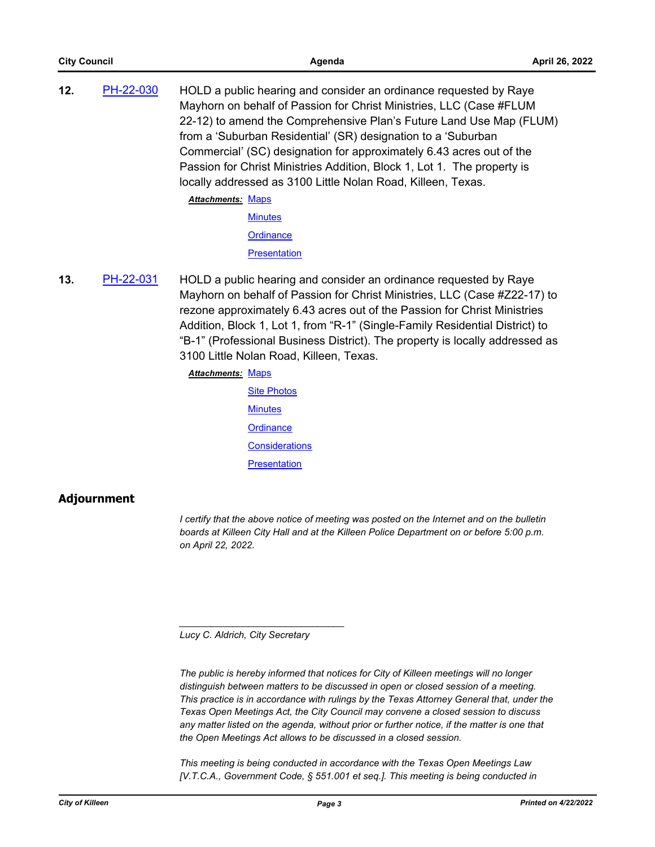| 12. | PH-22-030 | HOLD a public hearing and consider an ordinance requested by Raye   |
|-----|-----------|---------------------------------------------------------------------|
|     |           | Mayhorn on behalf of Passion for Christ Ministries, LLC (Case #FLUM |
|     |           | 22-12) to amend the Comprehensive Plan's Future Land Use Map (FLUM) |
|     |           | from a 'Suburban Residential' (SR) designation to a 'Suburban       |
|     |           |                                                                     |

Commercial' (SC) designation for approximately 6.43 acres out of the Passion for Christ Ministries Addition, Block 1, Lot 1. The property is locally addressed as 3100 Little Nolan Road, Killeen, Texas.

Attachments: [Maps](http://killeen.legistar.com/gateway.aspx?M=F&ID=ddd97415-738f-483c-8329-8f0333851604.pdf)

**[Minutes](http://killeen.legistar.com/gateway.aspx?M=F&ID=63470a5d-d2c3-46db-80a6-6b8a28bb226d.pdf)** 

**[Ordinance](http://killeen.legistar.com/gateway.aspx?M=F&ID=55b5aff2-8d28-4a8c-8191-738d673df5d9.pdf)** 

**[Presentation](http://killeen.legistar.com/gateway.aspx?M=F&ID=528f0857-8a16-46b5-8c9d-08e5380a8e5e.pdf)** 

- **13.** [PH-22-031](http://killeen.legistar.com/gateway.aspx?m=l&id=/matter.aspx?key=6041) HOLD a public hearing and consider an ordinance requested by Raye Mayhorn on behalf of Passion for Christ Ministries, LLC (Case #Z22-17) to rezone approximately 6.43 acres out of the Passion for Christ Ministries Addition, Block 1, Lot 1, from "R-1" (Single-Family Residential District) to "B-1" (Professional Business District). The property is locally addressed as 3100 Little Nolan Road, Killeen, Texas.
	- Attachments: [Maps](http://killeen.legistar.com/gateway.aspx?M=F&ID=eaf49210-60f0-408c-81d0-0a10cebd51de.pdf)
		- [Site Photos](http://killeen.legistar.com/gateway.aspx?M=F&ID=2ed847e2-2cc9-4a26-91c6-1bb4a599b025.pdf) **[Minutes](http://killeen.legistar.com/gateway.aspx?M=F&ID=7e911fd1-14bf-40c2-a323-915c00657cd2.pdf) [Ordinance](http://killeen.legistar.com/gateway.aspx?M=F&ID=75216678-eeb5-438a-853f-633ffee7088e.pdf) [Considerations](http://killeen.legistar.com/gateway.aspx?M=F&ID=6099e1d8-6f4c-4bd8-a32d-8c5b7aab37e2.pdf) [Presentation](http://killeen.legistar.com/gateway.aspx?M=F&ID=a515223a-db16-4432-8281-e89443c068ac.pdf)**

### **Adjournment**

*I* certify that the above notice of meeting was posted on the Internet and on the bulletin *boards at Killeen City Hall and at the Killeen Police Department on or before 5:00 p.m. on April 22, 2022.*

*Lucy C. Aldrich, City Secretary* 

*\_\_\_\_\_\_\_\_\_\_\_\_\_\_\_\_\_\_\_\_\_\_\_\_\_\_\_\_\_\_\_*

*The public is hereby informed that notices for City of Killeen meetings will no longer distinguish between matters to be discussed in open or closed session of a meeting. This practice is in accordance with rulings by the Texas Attorney General that, under the Texas Open Meetings Act, the City Council may convene a closed session to discuss*  any matter listed on the agenda, without prior or further notice, if the matter is one that *the Open Meetings Act allows to be discussed in a closed session.*

*This meeting is being conducted in accordance with the Texas Open Meetings Law [V.T.C.A., Government Code, § 551.001 et seq.]. This meeting is being conducted in*